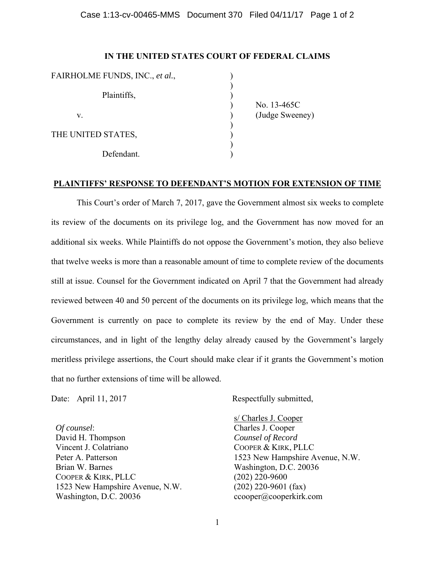## Case 1:13-cv-00465-MMS Document 370 Filed 04/11/17 Page 1 of 2

## **IN THE UNITED STATES COURT OF FEDERAL CLAIMS**

| FAIRHOLME FUNDS, INC., et al., |  |
|--------------------------------|--|
| Plaintiffs,                    |  |
| V.                             |  |
| THE UNITED STATES,             |  |
| Defendant.                     |  |

 ) No. 13-465C (Judge Sweeney)

## **PLAINTIFFS' RESPONSE TO DEFENDANT'S MOTION FOR EXTENSION OF TIME**

 This Court's order of March 7, 2017, gave the Government almost six weeks to complete its review of the documents on its privilege log, and the Government has now moved for an additional six weeks. While Plaintiffs do not oppose the Government's motion, they also believe that twelve weeks is more than a reasonable amount of time to complete review of the documents still at issue. Counsel for the Government indicated on April 7 that the Government had already reviewed between 40 and 50 percent of the documents on its privilege log, which means that the Government is currently on pace to complete its review by the end of May. Under these circumstances, and in light of the lengthy delay already caused by the Government's largely meritless privilege assertions, the Court should make clear if it grants the Government's motion that no further extensions of time will be allowed.

*Of counsel*: David H. Thompson Vincent J. Colatriano Peter A. Patterson Brian W. Barnes COOPER & KIRK, PLLC 1523 New Hampshire Avenue, N.W. Washington, D.C. 20036

Date: April 11, 2017 Respectfully submitted,

s/ Charles J. Cooper Charles J. Cooper *Counsel of Record*  COOPER & KIRK, PLLC 1523 New Hampshire Avenue, N.W. Washington, D.C. 20036 (202) 220-9600 (202) 220-9601 (fax) ccooper@cooperkirk.com